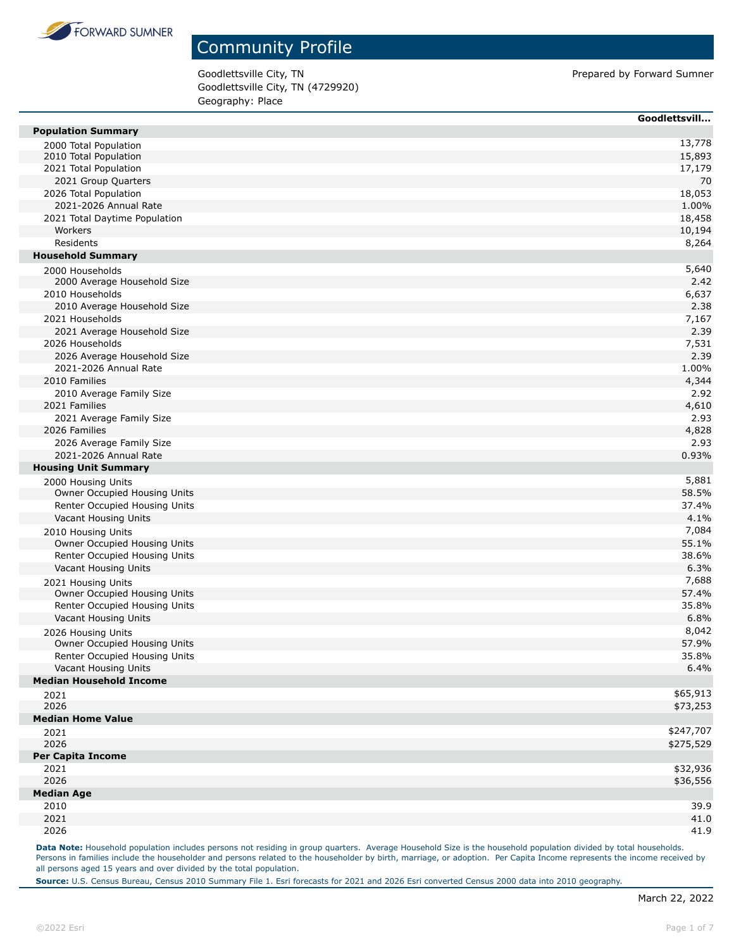

Goodlettsville City, TN Prepared by Forward Sumner Goodlettsville City, TN (4729920) Geography: Place

|                                                    | Goodlettsvill |
|----------------------------------------------------|---------------|
| <b>Population Summary</b>                          |               |
| 2000 Total Population                              | 13,778        |
| 2010 Total Population                              | 15,893        |
| 2021 Total Population                              | 17,179        |
| 2021 Group Quarters                                | 70            |
| 2026 Total Population                              | 18,053        |
| 2021-2026 Annual Rate                              | 1.00%         |
| 2021 Total Daytime Population<br>Workers           | 18,458        |
| Residents                                          | 10,194        |
| <b>Household Summary</b>                           | 8,264         |
|                                                    | 5,640         |
| 2000 Households<br>2000 Average Household Size     | 2.42          |
| 2010 Households                                    | 6,637         |
| 2010 Average Household Size                        | 2.38          |
| 2021 Households                                    | 7,167         |
| 2021 Average Household Size                        | 2.39          |
| 2026 Households                                    | 7,531         |
| 2026 Average Household Size                        | 2.39          |
| 2021-2026 Annual Rate                              | 1.00%         |
| 2010 Families                                      | 4,344         |
| 2010 Average Family Size                           | 2.92          |
| 2021 Families                                      | 4,610         |
| 2021 Average Family Size                           | 2.93          |
| 2026 Families                                      | 4,828         |
| 2026 Average Family Size                           | 2.93          |
| 2021-2026 Annual Rate                              | 0.93%         |
| <b>Housing Unit Summary</b>                        |               |
| 2000 Housing Units                                 | 5,881         |
| Owner Occupied Housing Units                       | 58.5%         |
| Renter Occupied Housing Units                      | 37.4%         |
| Vacant Housing Units                               | 4.1%          |
| 2010 Housing Units                                 | 7,084         |
| Owner Occupied Housing Units                       | 55.1%         |
| Renter Occupied Housing Units                      | 38.6%         |
| Vacant Housing Units                               | 6.3%<br>7,688 |
| 2021 Housing Units<br>Owner Occupied Housing Units | 57.4%         |
| Renter Occupied Housing Units                      | 35.8%         |
| Vacant Housing Units                               | 6.8%          |
|                                                    | 8,042         |
| 2026 Housing Units<br>Owner Occupied Housing Units | 57.9%         |
| Renter Occupied Housing Units                      | 35.8%         |
| Vacant Housing Units                               | 6.4%          |
| <b>Median Household Income</b>                     |               |
| 2021                                               | \$65,913      |
| 2026                                               | \$73,253      |
| <b>Median Home Value</b>                           |               |
| 2021                                               | \$247,707     |
| 2026                                               | \$275,529     |
| <b>Per Capita Income</b>                           |               |
| 2021                                               | \$32,936      |
| 2026                                               | \$36,556      |
| <b>Median Age</b>                                  |               |
| 2010                                               | 39.9          |
| 2021                                               | 41.0          |
| 2026                                               | 41.9          |

Data Note: Household population includes persons not residing in group quarters. Average Household Size is the household population divided by total households. Persons in families include the householder and persons related to the householder by birth, marriage, or adoption. Per Capita Income represents the income received by all persons aged 15 years and over divided by the total population.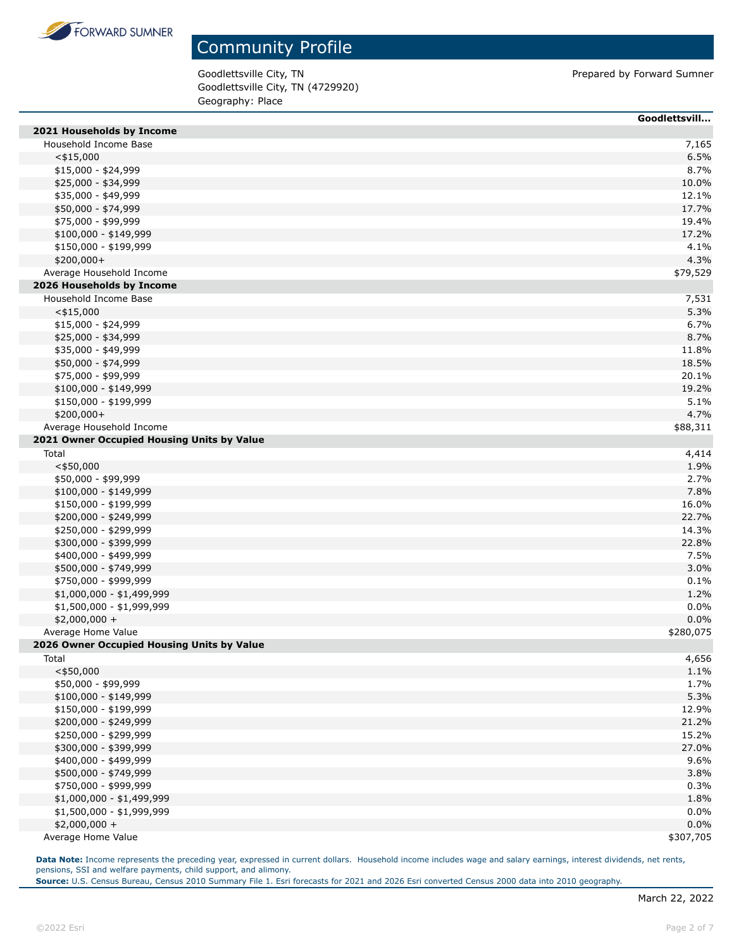

Goodlettsville City, TN Prepared by Forward Sumner Goodlettsville City, TN (4729920) Geography: Place

|                                            | Goodlettsvill |
|--------------------------------------------|---------------|
| 2021 Households by Income                  |               |
| Household Income Base                      | 7,165         |
| $<$ \$15,000                               | 6.5%          |
| $$15,000 - $24,999$                        | 8.7%          |
| \$25,000 - \$34,999                        | 10.0%         |
| \$35,000 - \$49,999                        | 12.1%         |
| \$50,000 - \$74,999                        | 17.7%         |
| \$75,000 - \$99,999                        | 19.4%         |
| \$100,000 - \$149,999                      | 17.2%         |
| \$150,000 - \$199,999                      | 4.1%          |
| $$200,000+$                                | 4.3%          |
| Average Household Income                   | \$79,529      |
| 2026 Households by Income                  |               |
| Household Income Base                      | 7,531         |
| $<$ \$15,000                               | 5.3%          |
| $$15,000 - $24,999$                        | 6.7%          |
| \$25,000 - \$34,999                        | 8.7%          |
| \$35,000 - \$49,999                        | 11.8%         |
| \$50,000 - \$74,999                        | 18.5%         |
| \$75,000 - \$99,999                        | 20.1%         |
| $$100,000 - $149,999$                      | 19.2%         |
| \$150,000 - \$199,999                      | 5.1%          |
| \$200,000+                                 | 4.7%          |
| Average Household Income                   | \$88,311      |
| 2021 Owner Occupied Housing Units by Value |               |
| Total                                      | 4,414         |
| $<$ \$50,000                               | 1.9%          |
| \$50,000 - \$99,999                        | 2.7%          |
| \$100,000 - \$149,999                      | 7.8%          |
| \$150,000 - \$199,999                      | 16.0%         |
| \$200,000 - \$249,999                      | 22.7%         |
| \$250,000 - \$299,999                      | 14.3%         |
| \$300,000 - \$399,999                      | 22.8%         |
| \$400,000 - \$499,999                      | 7.5%          |
| \$500,000 - \$749,999                      | 3.0%          |
| \$750,000 - \$999,999                      | 0.1%          |
| \$1,000,000 - \$1,499,999                  | 1.2%          |
| \$1,500,000 - \$1,999,999                  | 0.0%          |
| $$2,000,000 +$                             | 0.0%          |
| Average Home Value                         | \$280,075     |
| 2026 Owner Occupied Housing Units by Value |               |
| Total                                      | 4,656         |
| $<$ \$50,000                               | 1.1%          |
| \$50,000 - \$99,999                        | 1.7%          |
| $$100,000 - $149,999$                      | 5.3%          |
| \$150,000 - \$199,999                      | 12.9%         |
| \$200,000 - \$249,999                      | 21.2%         |
| \$250,000 - \$299,999                      | 15.2%         |
| \$300,000 - \$399,999                      | 27.0%         |
| \$400,000 - \$499,999                      | 9.6%          |
| \$500,000 - \$749,999                      | 3.8%          |
| \$750,000 - \$999,999                      | 0.3%          |
| \$1,000,000 - \$1,499,999                  | 1.8%          |
| \$1,500,000 - \$1,999,999                  | 0.0%          |
| $$2,000,000 +$                             | 0.0%          |
| Average Home Value                         | \$307,705     |
|                                            |               |

**Data Note:** Income represents the preceding year, expressed in current dollars. Household income includes wage and salary earnings, interest dividends, net rents, pensions, SSI and welfare payments, child support, and alimony.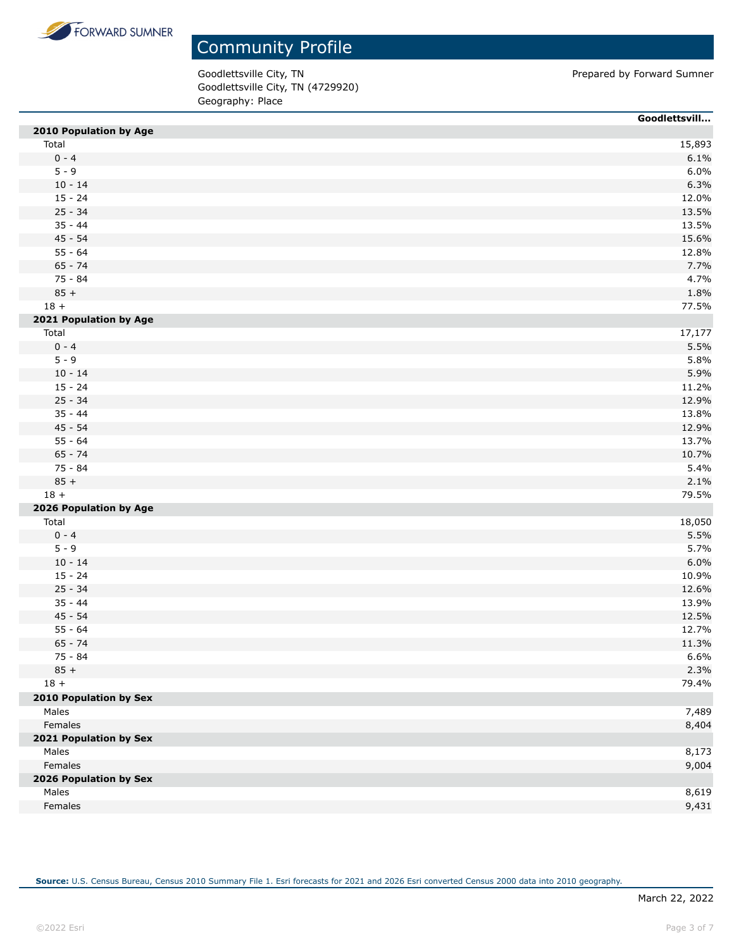

Goodlettsville City, TN Prepared by Forward Sumner Goodlettsville City, TN (4729920) Geography: Place

|                        | Goodlettsvill |
|------------------------|---------------|
| 2010 Population by Age |               |
| Total                  | 15,893        |
| $0 - 4$                | 6.1%          |
| $5 - 9$                | 6.0%          |
| $10 - 14$              | 6.3%          |
| $15 - 24$              | 12.0%         |
| $25 - 34$              | 13.5%         |
| $35 - 44$              | 13.5%         |
| $45 - 54$              | 15.6%         |
| $55 - 64$              | 12.8%         |
| $65 - 74$              | 7.7%          |
| 75 - 84                | 4.7%          |
| $85 +$                 | 1.8%          |
| $18 +$                 | 77.5%         |
| 2021 Population by Age |               |
| Total                  | 17,177        |
| $0 - 4$                | 5.5%          |
| $5 - 9$                | 5.8%          |
| $10 - 14$              | 5.9%          |
| $15 - 24$              | 11.2%         |
| $25 - 34$              | 12.9%         |
| $35 - 44$              | 13.8%         |
| $45 - 54$              | 12.9%         |
| $55 - 64$              | 13.7%         |
| $65 - 74$              | 10.7%         |
| 75 - 84                | 5.4%          |
| $85 +$                 | 2.1%          |
| $18 +$                 | 79.5%         |
| 2026 Population by Age |               |
| Total                  | 18,050        |
| $0 - 4$                | 5.5%          |
| $5 - 9$                | 5.7%          |
| $10 - 14$              | 6.0%          |
| $15 - 24$              | 10.9%         |
| $25 - 34$              | 12.6%         |
| $35 - 44$              | 13.9%         |
| $45 - 54$              | 12.5%         |
| $55 - 64$              | 12.7%         |
| $65 - 74$              | 11.3%         |
| 75 - 84                | 6.6%          |
| $85 +$                 | 2.3%          |
| $18 +$                 | 79.4%         |
| 2010 Population by Sex |               |
| Males                  | 7,489         |
| Females                | 8,404         |
| 2021 Population by Sex |               |
| Males                  | 8,173         |
| Females                | 9,004         |
| 2026 Population by Sex |               |
| Males                  | 8,619         |
| Females                | 9,431         |
|                        |               |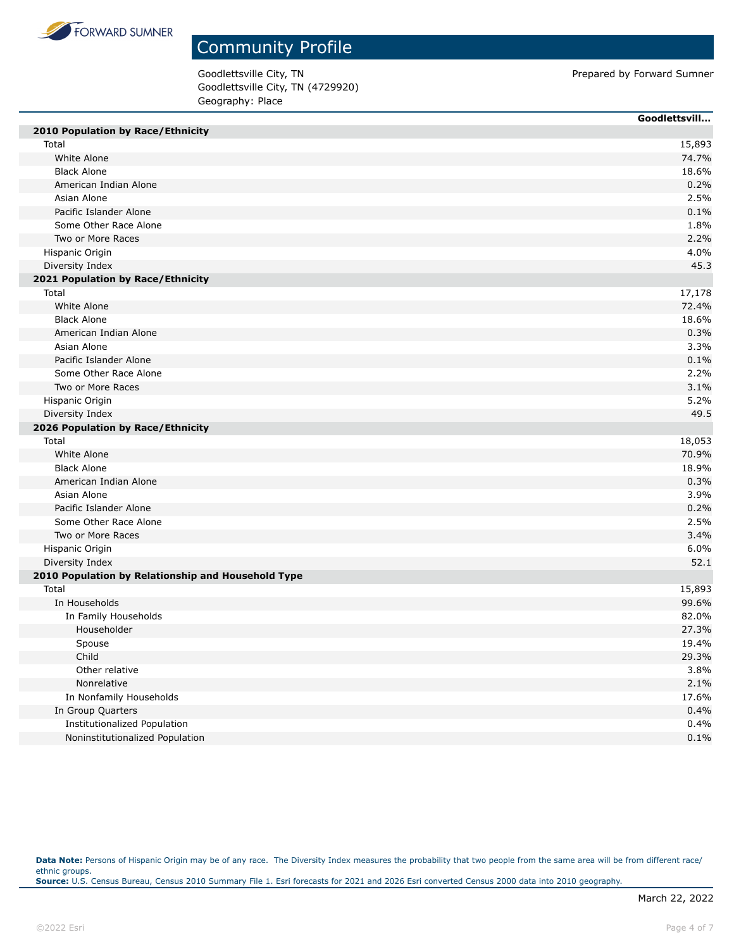

Goodlettsville City, TN Prepared by Forward Sumner Goodlettsville City, TN (4729920) Geography: Place

|                                                    | Goodlettsvill |
|----------------------------------------------------|---------------|
| 2010 Population by Race/Ethnicity                  |               |
| Total                                              | 15,893        |
| White Alone                                        | 74.7%         |
| <b>Black Alone</b>                                 | 18.6%         |
| American Indian Alone                              | 0.2%          |
| Asian Alone                                        | 2.5%          |
| Pacific Islander Alone                             | 0.1%          |
| Some Other Race Alone                              | 1.8%          |
| Two or More Races                                  | 2.2%          |
| Hispanic Origin                                    | 4.0%          |
| Diversity Index                                    | 45.3          |
| 2021 Population by Race/Ethnicity                  |               |
| Total                                              | 17,178        |
| White Alone                                        | 72.4%         |
| <b>Black Alone</b>                                 | 18.6%         |
| American Indian Alone                              | 0.3%          |
| Asian Alone                                        | 3.3%          |
| Pacific Islander Alone                             | 0.1%          |
| Some Other Race Alone                              | 2.2%          |
| Two or More Races                                  | 3.1%          |
| Hispanic Origin                                    | 5.2%          |
| Diversity Index                                    | 49.5          |
| 2026 Population by Race/Ethnicity                  |               |
| Total                                              | 18,053        |
| White Alone                                        | 70.9%         |
| <b>Black Alone</b>                                 | 18.9%         |
| American Indian Alone                              | 0.3%          |
| Asian Alone                                        | 3.9%          |
| Pacific Islander Alone                             | 0.2%          |
| Some Other Race Alone                              | 2.5%          |
| Two or More Races                                  | 3.4%          |
| Hispanic Origin                                    | 6.0%          |
| Diversity Index                                    | 52.1          |
| 2010 Population by Relationship and Household Type |               |
| Total                                              | 15,893        |
| In Households                                      | 99.6%         |
| In Family Households                               | 82.0%         |
| Householder                                        | 27.3%         |
| Spouse                                             | 19.4%         |
| Child                                              | 29.3%         |
| Other relative                                     | 3.8%          |
| Nonrelative                                        | 2.1%          |
| In Nonfamily Households                            | 17.6%         |
| In Group Quarters                                  | 0.4%          |
| Institutionalized Population                       | 0.4%          |
| Noninstitutionalized Population                    |               |
|                                                    | 0.1%          |

Data Note: Persons of Hispanic Origin may be of any race. The Diversity Index measures the probability that two people from the same area will be from different race/ ethnic groups. **Source:** U.S. Census Bureau, Census 2010 Summary File 1. Esri forecasts for 2021 and 2026 Esri converted Census 2000 data into 2010 geography.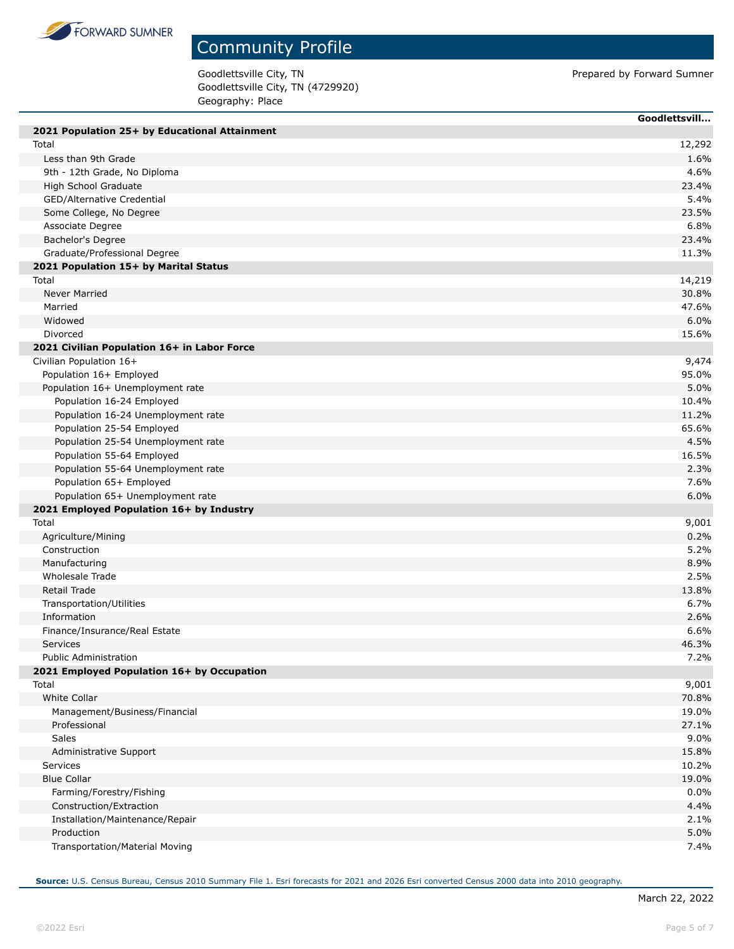

П

## Community Profile

Goodlettsville City, TN Prepared by Forward Sumner Goodlettsville City, TN (4729920) Geography: Place

|                                               | Goodlettsvill |
|-----------------------------------------------|---------------|
| 2021 Population 25+ by Educational Attainment |               |
| Total                                         | 12,292        |
| Less than 9th Grade                           | 1.6%          |
| 9th - 12th Grade, No Diploma                  | 4.6%          |
| High School Graduate                          | 23.4%         |
| GED/Alternative Credential                    | 5.4%          |
| Some College, No Degree                       | 23.5%         |
| Associate Degree                              | 6.8%          |
| Bachelor's Degree                             | 23.4%         |
| Graduate/Professional Degree                  | 11.3%         |
| 2021 Population 15+ by Marital Status         |               |
| Total                                         | 14,219        |
| Never Married                                 | 30.8%         |
| Married                                       | 47.6%         |
| Widowed                                       | 6.0%          |
| Divorced                                      | 15.6%         |
| 2021 Civilian Population 16+ in Labor Force   |               |
| Civilian Population 16+                       | 9,474         |
| Population 16+ Employed                       | 95.0%         |
| Population 16+ Unemployment rate              | 5.0%          |
| Population 16-24 Employed                     | 10.4%         |
| Population 16-24 Unemployment rate            | 11.2%         |
| Population 25-54 Employed                     | 65.6%         |
| Population 25-54 Unemployment rate            | 4.5%          |
| Population 55-64 Employed                     | 16.5%         |
| Population 55-64 Unemployment rate            | 2.3%          |
| Population 65+ Employed                       | 7.6%          |
| Population 65+ Unemployment rate              | 6.0%          |
| 2021 Employed Population 16+ by Industry      |               |
| Total                                         | 9,001         |
| Agriculture/Mining                            | 0.2%          |
| Construction                                  | 5.2%          |
| Manufacturing                                 | 8.9%          |
| Wholesale Trade                               | 2.5%          |
| Retail Trade                                  | 13.8%         |
| Transportation/Utilities                      | 6.7%          |
| Information                                   | 2.6%          |
| Finance/Insurance/Real Estate                 | 6.6%          |
| Services                                      | 46.3%         |
| <b>Public Administration</b>                  | 7.2%          |
| 2021 Employed Population 16+ by Occupation    |               |
| Total                                         | 9,001         |
| <b>White Collar</b>                           | 70.8%         |
| Management/Business/Financial                 | 19.0%         |
| Professional                                  | 27.1%         |
| Sales                                         | 9.0%          |
| Administrative Support                        | 15.8%         |
| Services                                      | 10.2%         |
| <b>Blue Collar</b>                            | 19.0%         |
| Farming/Forestry/Fishing                      | 0.0%          |
| Construction/Extraction                       | 4.4%          |
| Installation/Maintenance/Repair               | 2.1%          |
| Production                                    | 5.0%          |
| Transportation/Material Moving                | 7.4%          |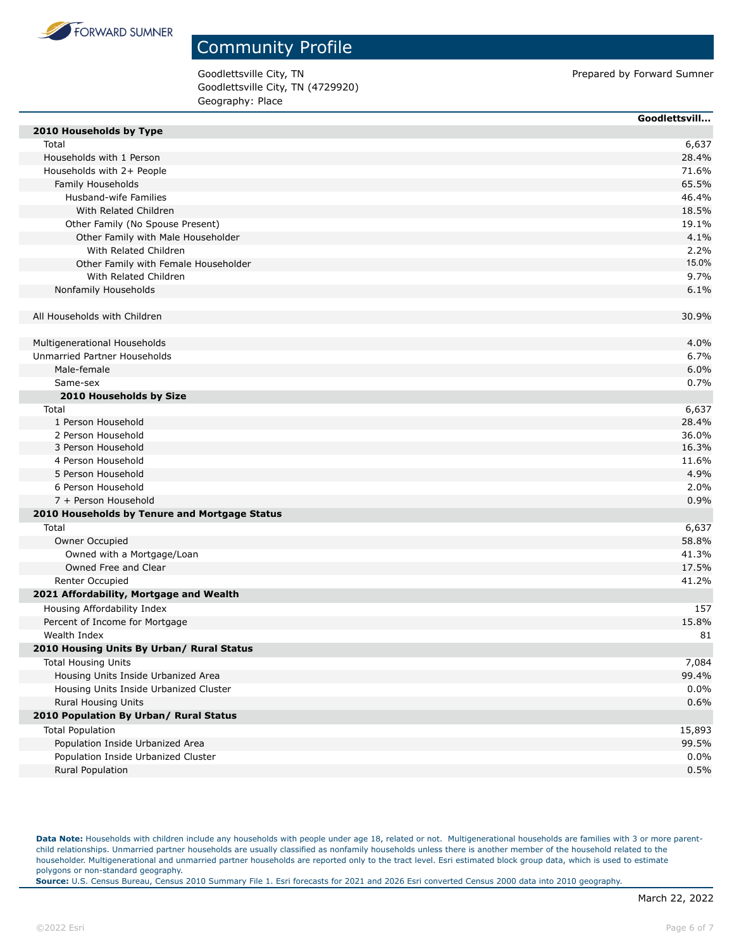

Goodlettsville City, TN **Prepared by Forward Sumner Prepared by Forward Sumner** Goodlettsville City, TN (4729920) Geography: Place

| 2010 Households by Type<br>Total<br>6,637<br>Households with 1 Person<br>28.4%<br>Households with 2+ People<br>71.6%<br>Family Households<br>65.5%<br>Husband-wife Families<br>46.4%<br>With Related Children<br>18.5%<br>Other Family (No Spouse Present)<br>19.1%<br>4.1%<br>Other Family with Male Householder<br>With Related Children<br>2.2%<br>15.0%<br>Other Family with Female Householder<br>9.7%<br>With Related Children<br>Nonfamily Households<br>6.1%<br>All Households with Children<br>30.9%<br>4.0%<br>Multigenerational Households<br>Unmarried Partner Households<br>6.7%<br>6.0%<br>Male-female<br>0.7%<br>Same-sex<br>2010 Households by Size<br>6,637<br>Total<br>1 Person Household<br>28.4%<br>2 Person Household<br>36.0%<br>3 Person Household<br>16.3%<br>4 Person Household<br>11.6%<br>5 Person Household<br>4.9%<br>6 Person Household<br>2.0%<br>7 + Person Household<br>0.9%<br>2010 Households by Tenure and Mortgage Status<br>Total<br>6,637<br>Owner Occupied<br>58.8%<br>Owned with a Mortgage/Loan<br>41.3%<br>Owned Free and Clear<br>17.5%<br>Renter Occupied<br>41.2%<br>2021 Affordability, Mortgage and Wealth<br>Housing Affordability Index<br>157<br>Percent of Income for Mortgage<br>15.8%<br>Wealth Index<br>81<br>2010 Housing Units By Urban/ Rural Status<br>7,084<br><b>Total Housing Units</b><br>Housing Units Inside Urbanized Area<br>99.4%<br>0.0%<br>Housing Units Inside Urbanized Cluster<br><b>Rural Housing Units</b><br>0.6%<br>2010 Population By Urban/ Rural Status<br><b>Total Population</b><br>15,893<br>Population Inside Urbanized Area<br>99.5%<br>0.0%<br>Population Inside Urbanized Cluster<br>0.5%<br>Rural Population | Goodlettsvill |
|------------------------------------------------------------------------------------------------------------------------------------------------------------------------------------------------------------------------------------------------------------------------------------------------------------------------------------------------------------------------------------------------------------------------------------------------------------------------------------------------------------------------------------------------------------------------------------------------------------------------------------------------------------------------------------------------------------------------------------------------------------------------------------------------------------------------------------------------------------------------------------------------------------------------------------------------------------------------------------------------------------------------------------------------------------------------------------------------------------------------------------------------------------------------------------------------------------------------------------------------------------------------------------------------------------------------------------------------------------------------------------------------------------------------------------------------------------------------------------------------------------------------------------------------------------------------------------------------------------------------------------------------------------------------------------------------------|---------------|
|                                                                                                                                                                                                                                                                                                                                                                                                                                                                                                                                                                                                                                                                                                                                                                                                                                                                                                                                                                                                                                                                                                                                                                                                                                                                                                                                                                                                                                                                                                                                                                                                                                                                                                      |               |
|                                                                                                                                                                                                                                                                                                                                                                                                                                                                                                                                                                                                                                                                                                                                                                                                                                                                                                                                                                                                                                                                                                                                                                                                                                                                                                                                                                                                                                                                                                                                                                                                                                                                                                      |               |
|                                                                                                                                                                                                                                                                                                                                                                                                                                                                                                                                                                                                                                                                                                                                                                                                                                                                                                                                                                                                                                                                                                                                                                                                                                                                                                                                                                                                                                                                                                                                                                                                                                                                                                      |               |
|                                                                                                                                                                                                                                                                                                                                                                                                                                                                                                                                                                                                                                                                                                                                                                                                                                                                                                                                                                                                                                                                                                                                                                                                                                                                                                                                                                                                                                                                                                                                                                                                                                                                                                      |               |
|                                                                                                                                                                                                                                                                                                                                                                                                                                                                                                                                                                                                                                                                                                                                                                                                                                                                                                                                                                                                                                                                                                                                                                                                                                                                                                                                                                                                                                                                                                                                                                                                                                                                                                      |               |
|                                                                                                                                                                                                                                                                                                                                                                                                                                                                                                                                                                                                                                                                                                                                                                                                                                                                                                                                                                                                                                                                                                                                                                                                                                                                                                                                                                                                                                                                                                                                                                                                                                                                                                      |               |
|                                                                                                                                                                                                                                                                                                                                                                                                                                                                                                                                                                                                                                                                                                                                                                                                                                                                                                                                                                                                                                                                                                                                                                                                                                                                                                                                                                                                                                                                                                                                                                                                                                                                                                      |               |
|                                                                                                                                                                                                                                                                                                                                                                                                                                                                                                                                                                                                                                                                                                                                                                                                                                                                                                                                                                                                                                                                                                                                                                                                                                                                                                                                                                                                                                                                                                                                                                                                                                                                                                      |               |
|                                                                                                                                                                                                                                                                                                                                                                                                                                                                                                                                                                                                                                                                                                                                                                                                                                                                                                                                                                                                                                                                                                                                                                                                                                                                                                                                                                                                                                                                                                                                                                                                                                                                                                      |               |
|                                                                                                                                                                                                                                                                                                                                                                                                                                                                                                                                                                                                                                                                                                                                                                                                                                                                                                                                                                                                                                                                                                                                                                                                                                                                                                                                                                                                                                                                                                                                                                                                                                                                                                      |               |
|                                                                                                                                                                                                                                                                                                                                                                                                                                                                                                                                                                                                                                                                                                                                                                                                                                                                                                                                                                                                                                                                                                                                                                                                                                                                                                                                                                                                                                                                                                                                                                                                                                                                                                      |               |
|                                                                                                                                                                                                                                                                                                                                                                                                                                                                                                                                                                                                                                                                                                                                                                                                                                                                                                                                                                                                                                                                                                                                                                                                                                                                                                                                                                                                                                                                                                                                                                                                                                                                                                      |               |
|                                                                                                                                                                                                                                                                                                                                                                                                                                                                                                                                                                                                                                                                                                                                                                                                                                                                                                                                                                                                                                                                                                                                                                                                                                                                                                                                                                                                                                                                                                                                                                                                                                                                                                      |               |
|                                                                                                                                                                                                                                                                                                                                                                                                                                                                                                                                                                                                                                                                                                                                                                                                                                                                                                                                                                                                                                                                                                                                                                                                                                                                                                                                                                                                                                                                                                                                                                                                                                                                                                      |               |
|                                                                                                                                                                                                                                                                                                                                                                                                                                                                                                                                                                                                                                                                                                                                                                                                                                                                                                                                                                                                                                                                                                                                                                                                                                                                                                                                                                                                                                                                                                                                                                                                                                                                                                      |               |
|                                                                                                                                                                                                                                                                                                                                                                                                                                                                                                                                                                                                                                                                                                                                                                                                                                                                                                                                                                                                                                                                                                                                                                                                                                                                                                                                                                                                                                                                                                                                                                                                                                                                                                      |               |
|                                                                                                                                                                                                                                                                                                                                                                                                                                                                                                                                                                                                                                                                                                                                                                                                                                                                                                                                                                                                                                                                                                                                                                                                                                                                                                                                                                                                                                                                                                                                                                                                                                                                                                      |               |
|                                                                                                                                                                                                                                                                                                                                                                                                                                                                                                                                                                                                                                                                                                                                                                                                                                                                                                                                                                                                                                                                                                                                                                                                                                                                                                                                                                                                                                                                                                                                                                                                                                                                                                      |               |
|                                                                                                                                                                                                                                                                                                                                                                                                                                                                                                                                                                                                                                                                                                                                                                                                                                                                                                                                                                                                                                                                                                                                                                                                                                                                                                                                                                                                                                                                                                                                                                                                                                                                                                      |               |
|                                                                                                                                                                                                                                                                                                                                                                                                                                                                                                                                                                                                                                                                                                                                                                                                                                                                                                                                                                                                                                                                                                                                                                                                                                                                                                                                                                                                                                                                                                                                                                                                                                                                                                      |               |
|                                                                                                                                                                                                                                                                                                                                                                                                                                                                                                                                                                                                                                                                                                                                                                                                                                                                                                                                                                                                                                                                                                                                                                                                                                                                                                                                                                                                                                                                                                                                                                                                                                                                                                      |               |
|                                                                                                                                                                                                                                                                                                                                                                                                                                                                                                                                                                                                                                                                                                                                                                                                                                                                                                                                                                                                                                                                                                                                                                                                                                                                                                                                                                                                                                                                                                                                                                                                                                                                                                      |               |
|                                                                                                                                                                                                                                                                                                                                                                                                                                                                                                                                                                                                                                                                                                                                                                                                                                                                                                                                                                                                                                                                                                                                                                                                                                                                                                                                                                                                                                                                                                                                                                                                                                                                                                      |               |
|                                                                                                                                                                                                                                                                                                                                                                                                                                                                                                                                                                                                                                                                                                                                                                                                                                                                                                                                                                                                                                                                                                                                                                                                                                                                                                                                                                                                                                                                                                                                                                                                                                                                                                      |               |
|                                                                                                                                                                                                                                                                                                                                                                                                                                                                                                                                                                                                                                                                                                                                                                                                                                                                                                                                                                                                                                                                                                                                                                                                                                                                                                                                                                                                                                                                                                                                                                                                                                                                                                      |               |
|                                                                                                                                                                                                                                                                                                                                                                                                                                                                                                                                                                                                                                                                                                                                                                                                                                                                                                                                                                                                                                                                                                                                                                                                                                                                                                                                                                                                                                                                                                                                                                                                                                                                                                      |               |
|                                                                                                                                                                                                                                                                                                                                                                                                                                                                                                                                                                                                                                                                                                                                                                                                                                                                                                                                                                                                                                                                                                                                                                                                                                                                                                                                                                                                                                                                                                                                                                                                                                                                                                      |               |
|                                                                                                                                                                                                                                                                                                                                                                                                                                                                                                                                                                                                                                                                                                                                                                                                                                                                                                                                                                                                                                                                                                                                                                                                                                                                                                                                                                                                                                                                                                                                                                                                                                                                                                      |               |
|                                                                                                                                                                                                                                                                                                                                                                                                                                                                                                                                                                                                                                                                                                                                                                                                                                                                                                                                                                                                                                                                                                                                                                                                                                                                                                                                                                                                                                                                                                                                                                                                                                                                                                      |               |
|                                                                                                                                                                                                                                                                                                                                                                                                                                                                                                                                                                                                                                                                                                                                                                                                                                                                                                                                                                                                                                                                                                                                                                                                                                                                                                                                                                                                                                                                                                                                                                                                                                                                                                      |               |
|                                                                                                                                                                                                                                                                                                                                                                                                                                                                                                                                                                                                                                                                                                                                                                                                                                                                                                                                                                                                                                                                                                                                                                                                                                                                                                                                                                                                                                                                                                                                                                                                                                                                                                      |               |
|                                                                                                                                                                                                                                                                                                                                                                                                                                                                                                                                                                                                                                                                                                                                                                                                                                                                                                                                                                                                                                                                                                                                                                                                                                                                                                                                                                                                                                                                                                                                                                                                                                                                                                      |               |
|                                                                                                                                                                                                                                                                                                                                                                                                                                                                                                                                                                                                                                                                                                                                                                                                                                                                                                                                                                                                                                                                                                                                                                                                                                                                                                                                                                                                                                                                                                                                                                                                                                                                                                      |               |
|                                                                                                                                                                                                                                                                                                                                                                                                                                                                                                                                                                                                                                                                                                                                                                                                                                                                                                                                                                                                                                                                                                                                                                                                                                                                                                                                                                                                                                                                                                                                                                                                                                                                                                      |               |
|                                                                                                                                                                                                                                                                                                                                                                                                                                                                                                                                                                                                                                                                                                                                                                                                                                                                                                                                                                                                                                                                                                                                                                                                                                                                                                                                                                                                                                                                                                                                                                                                                                                                                                      |               |
|                                                                                                                                                                                                                                                                                                                                                                                                                                                                                                                                                                                                                                                                                                                                                                                                                                                                                                                                                                                                                                                                                                                                                                                                                                                                                                                                                                                                                                                                                                                                                                                                                                                                                                      |               |
|                                                                                                                                                                                                                                                                                                                                                                                                                                                                                                                                                                                                                                                                                                                                                                                                                                                                                                                                                                                                                                                                                                                                                                                                                                                                                                                                                                                                                                                                                                                                                                                                                                                                                                      |               |
|                                                                                                                                                                                                                                                                                                                                                                                                                                                                                                                                                                                                                                                                                                                                                                                                                                                                                                                                                                                                                                                                                                                                                                                                                                                                                                                                                                                                                                                                                                                                                                                                                                                                                                      |               |
|                                                                                                                                                                                                                                                                                                                                                                                                                                                                                                                                                                                                                                                                                                                                                                                                                                                                                                                                                                                                                                                                                                                                                                                                                                                                                                                                                                                                                                                                                                                                                                                                                                                                                                      |               |
|                                                                                                                                                                                                                                                                                                                                                                                                                                                                                                                                                                                                                                                                                                                                                                                                                                                                                                                                                                                                                                                                                                                                                                                                                                                                                                                                                                                                                                                                                                                                                                                                                                                                                                      |               |
|                                                                                                                                                                                                                                                                                                                                                                                                                                                                                                                                                                                                                                                                                                                                                                                                                                                                                                                                                                                                                                                                                                                                                                                                                                                                                                                                                                                                                                                                                                                                                                                                                                                                                                      |               |
|                                                                                                                                                                                                                                                                                                                                                                                                                                                                                                                                                                                                                                                                                                                                                                                                                                                                                                                                                                                                                                                                                                                                                                                                                                                                                                                                                                                                                                                                                                                                                                                                                                                                                                      |               |
|                                                                                                                                                                                                                                                                                                                                                                                                                                                                                                                                                                                                                                                                                                                                                                                                                                                                                                                                                                                                                                                                                                                                                                                                                                                                                                                                                                                                                                                                                                                                                                                                                                                                                                      |               |
|                                                                                                                                                                                                                                                                                                                                                                                                                                                                                                                                                                                                                                                                                                                                                                                                                                                                                                                                                                                                                                                                                                                                                                                                                                                                                                                                                                                                                                                                                                                                                                                                                                                                                                      |               |
|                                                                                                                                                                                                                                                                                                                                                                                                                                                                                                                                                                                                                                                                                                                                                                                                                                                                                                                                                                                                                                                                                                                                                                                                                                                                                                                                                                                                                                                                                                                                                                                                                                                                                                      |               |
|                                                                                                                                                                                                                                                                                                                                                                                                                                                                                                                                                                                                                                                                                                                                                                                                                                                                                                                                                                                                                                                                                                                                                                                                                                                                                                                                                                                                                                                                                                                                                                                                                                                                                                      |               |
|                                                                                                                                                                                                                                                                                                                                                                                                                                                                                                                                                                                                                                                                                                                                                                                                                                                                                                                                                                                                                                                                                                                                                                                                                                                                                                                                                                                                                                                                                                                                                                                                                                                                                                      |               |
|                                                                                                                                                                                                                                                                                                                                                                                                                                                                                                                                                                                                                                                                                                                                                                                                                                                                                                                                                                                                                                                                                                                                                                                                                                                                                                                                                                                                                                                                                                                                                                                                                                                                                                      |               |

Data Note: Households with children include any households with people under age 18, related or not. Multigenerational households are families with 3 or more parentchild relationships. Unmarried partner households are usually classified as nonfamily households unless there is another member of the household related to the householder. Multigenerational and unmarried partner households are reported only to the tract level. Esri estimated block group data, which is used to estimate polygons or non-standard geography.